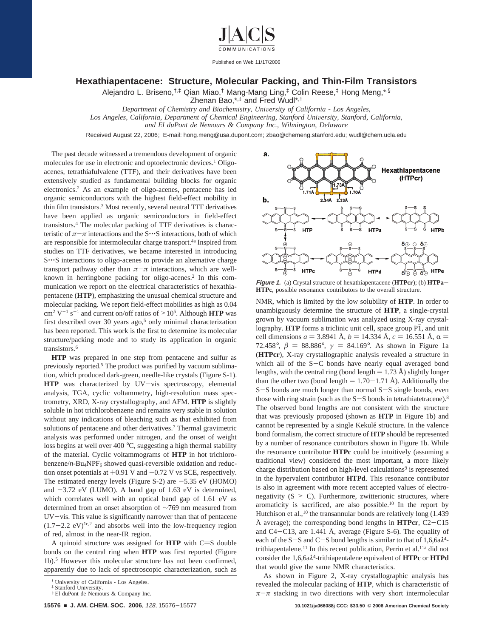

Published on Web 11/17/2006

## **Hexathiapentacene: Structure, Molecular Packing, and Thin-Film Transistors**

Alejandro L. Briseno,†,‡ Qian Miao,† Mang-Mang Ling,‡ Colin Reese,‡ Hong Meng,\*,§

Zhenan Bao,\*,‡ and Fred Wudl\*,†

*Department of Chemistry and Biochemistry, Uni*V*ersity of California - Los Angeles,*

Los Angeles, California, Department of Chemical Engineering, Stanford University, Stanford, California,

*and El duPont de Nemours & Company Inc., Wilmington, Delaware*

Received August 22, 2006; E-mail: hong.meng@usa.dupont.com; zbao@chemeng.stanford.edu; wudl@chem.ucla.edu

The past decade witnessed a tremendous development of organic molecules for use in electronic and optoelectronic devices.<sup>1</sup> Oligoacenes, tetrathiafulvalene (TTF), and their derivatives have been extensively studied as fundamental building blocks for organic electronics.2 As an example of oligo-acenes, pentacene has led organic semiconductors with the highest field-effect mobility in thin film transistors.3 Most recently, several neutral TTF derivatives have been applied as organic semiconductors in field-effect transistors.4 The molecular packing of TTF derivatives is characteristic of  $\pi-\pi$  interactions and the S $\cdots$ S interactions, both of which are responsible for intermolecular charge transport.4a Inspired from studies on TTF derivatives, we became interested in introducing S…S interactions to oligo-acenes to provide an alternative charge transport pathway other than  $\pi-\pi$  interactions, which are wellknown in herringbone packing for oligo-acenes.2 In this communication we report on the electrical characteristics of hexathiapentacene (**HTP**), emphasizing the unusual chemical structure and molecular packing. We report field-effect mobilities as high as 0.04  $cm<sup>2</sup> V<sup>-1</sup> s<sup>-1</sup>$  and current on/off ratios of  $> 10<sup>5</sup>$ . Although **HTP** was first described over 30 years ago,<sup>5</sup> only minimal characterization has been reported. This work is the first to determine its molecular structure/packing mode and to study its application in organic transistors.6

**HTP** was prepared in one step from pentacene and sulfur as previously reported.5 The product was purified by vacuum sublimation, which produced dark-green, needle-like crystals (Figure S-1). **HTP** was characterized by UV-vis spectroscopy, elemental analysis, TGA, cyclic voltammetry, high-resolution mass spectrometry, XRD, X-ray crystallography, and AFM. **HTP** is slightly soluble in hot trichlorobenzene and remains very stable in solution without any indications of bleaching such as that exhibited from solutions of pentacene and other derivatives.<sup>7</sup> Thermal gravimetric analysis was performed under nitrogen, and the onset of weight loss begins at well over 400 °C, suggesting a high thermal stability of the material. Cyclic voltammograms of **HTP** in hot trichloro $benzene/n-Bu<sub>4</sub>NPF<sub>6</sub> showed quasi-reversible oxidation and reduc$ tion onset potentials at  $+0.91$  V and  $-0.72$  V vs SCE, respectively. The estimated energy levels (Figure S-2) are  $-5.35$  eV (HOMO) and  $-3.72$  eV (LUMO). A band gap of 1.63 eV is determined, which correlates well with an optical band gap of 1.61 eV as determined from an onset absorption of ∼769 nm measured from  $UV - vis$ . This value is significantly narrower than that of pentacene  $(1.7-2.2 \text{ eV})^{\text{1c},2}$  and absorbs well into the low-frequency region of red, almost in the near-IR region.

A quinoid structure was assigned for  **with**  $C=S$  **double** bonds on the central ring when **HTP** was first reported (Figure 1b).5 However this molecular structure has not been confirmed, apparently due to lack of spectroscopic characterization, such as



**Figure 1.** (a) Crystal structure of hexathiapentacene (**HTPcr**); (b) **HTPa**-**HTPc**, possible resonance contributors to the overall structure.

NMR, which is limited by the low solubility of **HTP**. In order to unambiguously determine the structure of **HTP**, a single-crystal grown by vacuum sublimation was analyzed using X-ray crystallography. **HTP** forms a triclinic unit cell, space group  $\overline{PI}$ , and unit cell dimensions  $a = 3.8941 \text{ Å}$ ,  $b = 14.334 \text{ Å}$ ,  $c = 16.551 \text{ Å}$ ,  $\alpha =$ 72.458°,  $\beta = 88.886$ °,  $\gamma = 84.169$ °. As shown in Figure 1a (**HTPcr**), X-ray crystallographic analysis revealed a structure in which all of the S-C bonds have nearly equal averaged bond lengths, with the central ring (bond length  $= 1.73 \text{ Å}$ ) slightly longer than the other two (bond length  $= 1.70 - 1.71$  Å). Additionally the <sup>S</sup>-S bonds are much longer than normal S-S single bonds, even those with ring strain (such as the  $S-S$  bonds in tetrathiatetracene).<sup>8</sup> The observed bond lengths are not consistent with the structure that was previously proposed (shown as **HTP** in Figure 1b) and cannot be represented by a single Kekulé structure. In the valence bond formalism, the correct structure of **HTP** should be represented by a number of resonance contributors shown in Figure 1b. While the resonance contributor **HTPc** could be intuitively (assuming a traditional view) considered the most important, a more likely charge distribution based on high-level calculations<sup>9</sup> is represented in the hypervalent contributor **HTPd**. This resonance contributor is also in agreement with more recent accepted values of electronegativity  $(S > C)$ . Furthermore, zwitterionic structures, where aromaticity is sacrificed, are also possible.10 In the report by Hutchison et al.,  $^{10}$  the transannular bonds are relatively long (1.439) Å average); the corresponding bond lengths in  $\text{HTPer}, \text{C2–C15}$ and  $C4-C13$ , are 1.441 Å, average (Figure S-6). The equality of each of the S-S and C-S bond lengths is similar to that of 1,6,6a*λ*4 trithiapentalene.<sup>11</sup> In this recent publication, Perrin et al.<sup>11a</sup> did not consider the 1,6,6a*λ*4-trithiapentalene equivalent of **HTPc** or **HTPd** that would give the same NMR characteristics.

As shown in Figure 2, X-ray crystallographic analysis has revealed the molecular packing of **HTP**, which is characteristic of  $\pi-\pi$  stacking in two directions with very short intermolecular

<sup>†</sup> University of California - Los Angeles.

Stanford University.